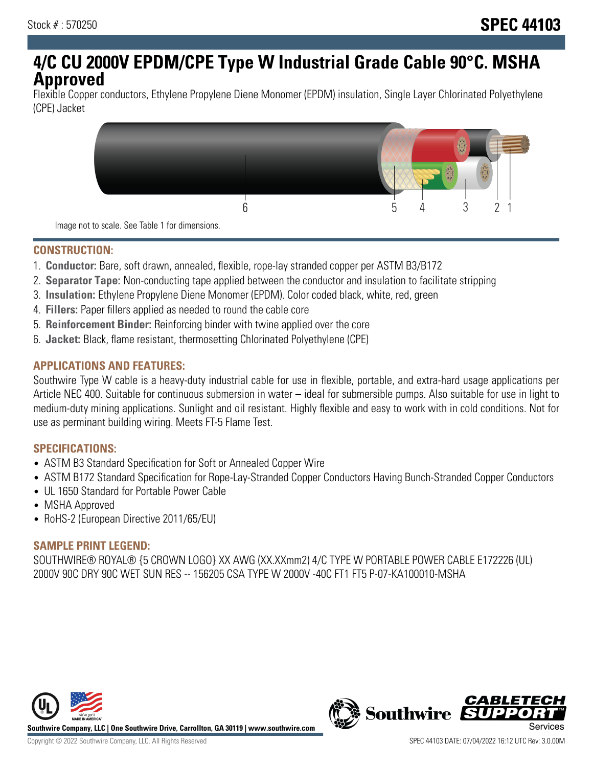# **4/C CU 2000V EPDM/CPE Type W Industrial Grade Cable 90°C. MSHA Approved**

Flexible Copper conductors, Ethylene Propylene Diene Monomer (EPDM) insulation, Single Layer Chlorinated Polyethylene (CPE) Jacket



Image not to scale. See Table 1 for dimensions.

## **CONSTRUCTION:**

- 1. **Conductor:** Bare, soft drawn, annealed, flexible, rope-lay stranded copper per ASTM B3/B172
- 2. **Separator Tape:** Non-conducting tape applied between the conductor and insulation to facilitate stripping
- 3. **Insulation:** Ethylene Propylene Diene Monomer (EPDM). Color coded black, white, red, green
- 4. **Fillers:** Paper fillers applied as needed to round the cable core
- 5. **Reinforcement Binder:** Reinforcing binder with twine applied over the core
- 6. **Jacket:** Black, flame resistant, thermosetting Chlorinated Polyethylene (CPE)

## **APPLICATIONS AND FEATURES:**

Southwire Type W cable is a heavy-duty industrial cable for use in flexible, portable, and extra-hard usage applications per Article NEC 400. Suitable for continuous submersion in water – ideal for submersible pumps. Also suitable for use in light to medium-duty mining applications. Sunlight and oil resistant. Highly flexible and easy to work with in cold conditions. Not for use as perminant building wiring. Meets FT-5 Flame Test.

#### **SPECIFICATIONS:**

- ASTM B3 Standard Specification for Soft or Annealed Copper Wire
- ASTM B172 Standard Specification for Rope-Lay-Stranded Copper Conductors Having Bunch-Stranded Copper Conductors
- UL 1650 Standard for Portable Power Cable
- MSHA Approved
- RoHS-2 (European Directive 2011/65/EU)

## **SAMPLE PRINT LEGEND:**

SOUTHWIRE® ROYAL® {5 CROWN LOGO} XX AWG (XX.XXmm2) 4/C TYPE W PORTABLE POWER CABLE E172226 (UL) 2000V 90C DRY 90C WET SUN RES -- 156205 CSA TYPE W 2000V -40C FT1 FT5 P-07-KA100010-MSHA